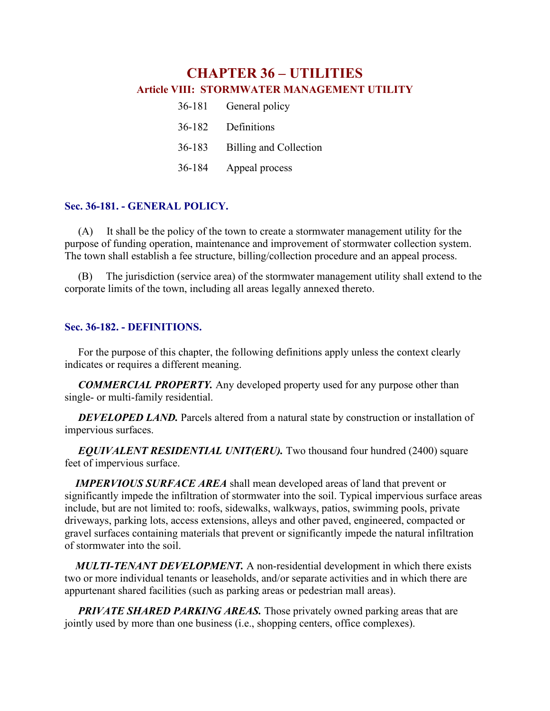# **CHAPTER 36 – UTILITIES Article VIII: STORMWATER MANAGEMENT UTILITY**

| 36-181 | General policy         |
|--------|------------------------|
| 36-182 | Definitions            |
| 36-183 | Billing and Collection |
| 36-184 | Appeal process         |

## **Sec. 36-181. - GENERAL POLICY.**

(A) It shall be the policy of the town to create a stormwater management utility for the purpose of funding operation, maintenance and improvement of stormwater collection system. The town shall establish a fee structure, billing/collection procedure and an appeal process.

(B) The jurisdiction (service area) of the stormwater management utility shall extend to the corporate limits of the town, including all areas legally annexed thereto.

## **Sec. 36-182. - DEFINITIONS.**

For the purpose of this chapter, the following definitions apply unless the context clearly indicates or requires a different meaning.

*COMMERCIAL PROPERTY.* Any developed property used for any purpose other than single- or multi-family residential.

*DEVELOPED LAND.* Parcels altered from a natural state by construction or installation of impervious surfaces.

*EQUIVALENT RESIDENTIAL UNIT(ERU).* Two thousand four hundred (2400) square feet of impervious surface.

 *IMPERVIOUS SURFACE AREA* shall mean developed areas of land that prevent or significantly impede the infiltration of stormwater into the soil. Typical impervious surface areas include, but are not limited to: roofs, sidewalks, walkways, patios, swimming pools, private driveways, parking lots, access extensions, alleys and other paved, engineered, compacted or gravel surfaces containing materials that prevent or significantly impede the natural infiltration of stormwater into the soil.

 *MULTI-TENANT DEVELOPMENT.* A non-residential development in which there exists two or more individual tenants or leaseholds, and/or separate activities and in which there are appurtenant shared facilities (such as parking areas or pedestrian mall areas).

*PRIVATE SHARED PARKING AREAS.* Those privately owned parking areas that are jointly used by more than one business (i.e., shopping centers, office complexes).